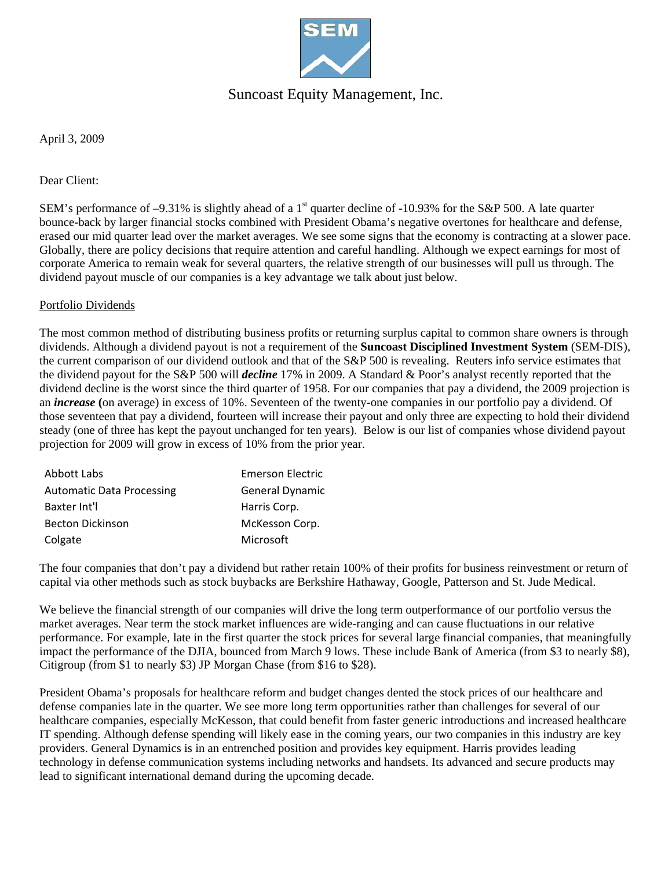

## Suncoast Equity Management, Inc.

April 3, 2009

Dear Client:

SEM's performance of  $-9.31\%$  is slightly ahead of a 1<sup>st</sup> quarter decline of -10.93% for the S&P 500. A late quarter bounce-back by larger financial stocks combined with President Obama's negative overtones for healthcare and defense, erased our mid quarter lead over the market averages. We see some signs that the economy is contracting at a slower pace. Globally, there are policy decisions that require attention and careful handling. Although we expect earnings for most of corporate America to remain weak for several quarters, the relative strength of our businesses will pull us through. The dividend payout muscle of our companies is a key advantage we talk about just below.

### Portfolio Dividends

The most common method of distributing business profits or returning surplus capital to common share owners is through dividends. Although a dividend payout is not a requirement of the **Suncoast Disciplined Investment System** (SEM-DIS), the current comparison of our dividend outlook and that of the S&P 500 is revealing. Reuters info service estimates that the dividend payout for the S&P 500 will *decline* 17% in 2009. A Standard & Poor's analyst recently reported that the dividend decline is the worst since the third quarter of 1958. For our companies that pay a dividend, the 2009 projection is an *increase* **(**on average) in excess of 10%. Seventeen of the twenty-one companies in our portfolio pay a dividend. Of those seventeen that pay a dividend, fourteen will increase their payout and only three are expecting to hold their dividend steady (one of three has kept the payout unchanged for ten years). Below is our list of companies whose dividend payout projection for 2009 will grow in excess of 10% from the prior year.

| Abbott Labs                      | <b>Emerson Electric</b> |
|----------------------------------|-------------------------|
| <b>Automatic Data Processing</b> | General Dynamic         |
| Baxter Int'l                     | Harris Corp.            |
| <b>Becton Dickinson</b>          | McKesson Corp.          |
| Colgate                          | Microsoft               |

The four companies that don't pay a dividend but rather retain 100% of their profits for business reinvestment or return of capital via other methods such as stock buybacks are Berkshire Hathaway, Google, Patterson and St. Jude Medical.

We believe the financial strength of our companies will drive the long term outperformance of our portfolio versus the market averages. Near term the stock market influences are wide-ranging and can cause fluctuations in our relative performance. For example, late in the first quarter the stock prices for several large financial companies, that meaningfully impact the performance of the DJIA, bounced from March 9 lows. These include Bank of America (from \$3 to nearly \$8), Citigroup (from \$1 to nearly \$3) JP Morgan Chase (from \$16 to \$28).

President Obama's proposals for healthcare reform and budget changes dented the stock prices of our healthcare and defense companies late in the quarter. We see more long term opportunities rather than challenges for several of our healthcare companies, especially McKesson, that could benefit from faster generic introductions and increased healthcare IT spending. Although defense spending will likely ease in the coming years, our two companies in this industry are key providers. General Dynamics is in an entrenched position and provides key equipment. Harris provides leading technology in defense communication systems including networks and handsets. Its advanced and secure products may lead to significant international demand during the upcoming decade.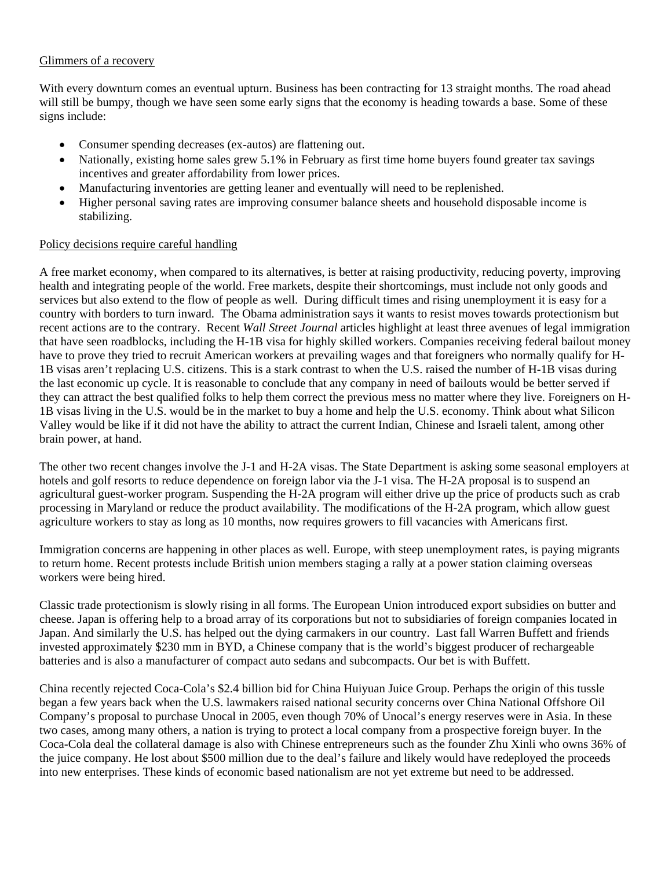### Glimmers of a recovery

With every downturn comes an eventual upturn. Business has been contracting for 13 straight months. The road ahead will still be bumpy, though we have seen some early signs that the economy is heading towards a base. Some of these signs include:

- Consumer spending decreases (ex-autos) are flattening out.
- Nationally, existing home sales grew 5.1% in February as first time home buyers found greater tax savings incentives and greater affordability from lower prices.
- Manufacturing inventories are getting leaner and eventually will need to be replenished.
- Higher personal saving rates are improving consumer balance sheets and household disposable income is stabilizing.

#### Policy decisions require careful handling

A free market economy, when compared to its alternatives, is better at raising productivity, reducing poverty, improving health and integrating people of the world. Free markets, despite their shortcomings, must include not only goods and services but also extend to the flow of people as well. During difficult times and rising unemployment it is easy for a country with borders to turn inward. The Obama administration says it wants to resist moves towards protectionism but recent actions are to the contrary. Recent *Wall Street Journal* articles highlight at least three avenues of legal immigration that have seen roadblocks, including the H-1B visa for highly skilled workers. Companies receiving federal bailout money have to prove they tried to recruit American workers at prevailing wages and that foreigners who normally qualify for H-1B visas aren't replacing U.S. citizens. This is a stark contrast to when the U.S. raised the number of H-1B visas during the last economic up cycle. It is reasonable to conclude that any company in need of bailouts would be better served if they can attract the best qualified folks to help them correct the previous mess no matter where they live. Foreigners on H-1B visas living in the U.S. would be in the market to buy a home and help the U.S. economy. Think about what Silicon Valley would be like if it did not have the ability to attract the current Indian, Chinese and Israeli talent, among other brain power, at hand.

The other two recent changes involve the J-1 and H-2A visas. The State Department is asking some seasonal employers at hotels and golf resorts to reduce dependence on foreign labor via the J-1 visa. The H-2A proposal is to suspend an agricultural guest-worker program. Suspending the H-2A program will either drive up the price of products such as crab processing in Maryland or reduce the product availability. The modifications of the H-2A program, which allow guest agriculture workers to stay as long as 10 months, now requires growers to fill vacancies with Americans first.

Immigration concerns are happening in other places as well. Europe, with steep unemployment rates, is paying migrants to return home. Recent protests include British union members staging a rally at a power station claiming overseas workers were being hired.

Classic trade protectionism is slowly rising in all forms. The European Union introduced export subsidies on butter and cheese. Japan is offering help to a broad array of its corporations but not to subsidiaries of foreign companies located in Japan. And similarly the U.S. has helped out the dying carmakers in our country. Last fall Warren Buffett and friends invested approximately \$230 mm in BYD, a Chinese company that is the world's biggest producer of rechargeable batteries and is also a manufacturer of compact auto sedans and subcompacts. Our bet is with Buffett.

China recently rejected Coca-Cola's \$2.4 billion bid for China Huiyuan Juice Group. Perhaps the origin of this tussle began a few years back when the U.S. lawmakers raised national security concerns over China National Offshore Oil Company's proposal to purchase Unocal in 2005, even though 70% of Unocal's energy reserves were in Asia. In these two cases, among many others, a nation is trying to protect a local company from a prospective foreign buyer. In the Coca-Cola deal the collateral damage is also with Chinese entrepreneurs such as the founder Zhu Xinli who owns 36% of the juice company. He lost about \$500 million due to the deal's failure and likely would have redeployed the proceeds into new enterprises. These kinds of economic based nationalism are not yet extreme but need to be addressed.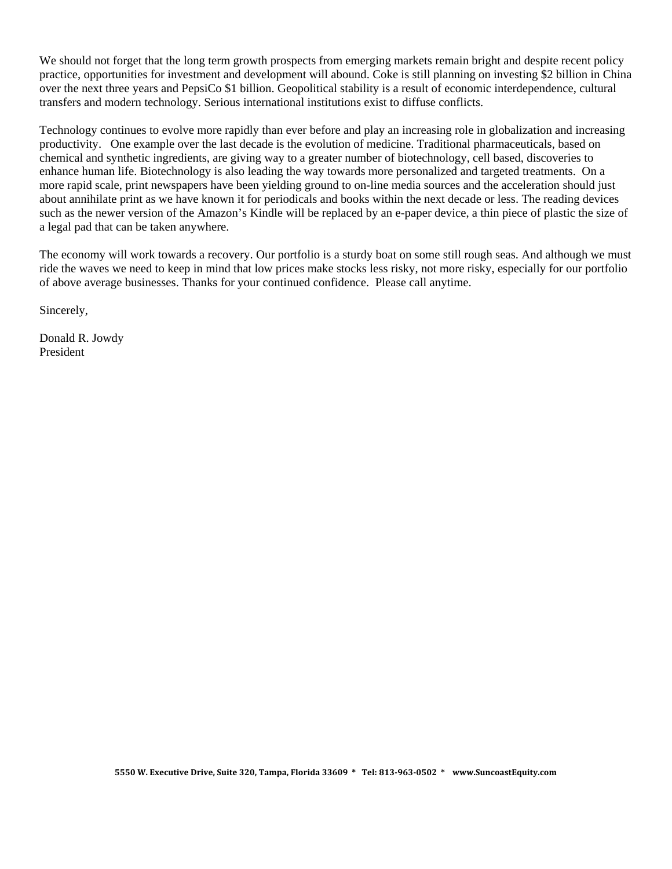We should not forget that the long term growth prospects from emerging markets remain bright and despite recent policy practice, opportunities for investment and development will abound. Coke is still planning on investing \$2 billion in China over the next three years and PepsiCo \$1 billion. Geopolitical stability is a result of economic interdependence, cultural transfers and modern technology. Serious international institutions exist to diffuse conflicts.

Technology continues to evolve more rapidly than ever before and play an increasing role in globalization and increasing productivity. One example over the last decade is the evolution of medicine. Traditional pharmaceuticals, based on chemical and synthetic ingredients, are giving way to a greater number of biotechnology, cell based, discoveries to enhance human life. Biotechnology is also leading the way towards more personalized and targeted treatments. On a more rapid scale, print newspapers have been yielding ground to on-line media sources and the acceleration should just about annihilate print as we have known it for periodicals and books within the next decade or less. The reading devices such as the newer version of the Amazon's Kindle will be replaced by an e-paper device, a thin piece of plastic the size of a legal pad that can be taken anywhere.

The economy will work towards a recovery. Our portfolio is a sturdy boat on some still rough seas. And although we must ride the waves we need to keep in mind that low prices make stocks less risky, not more risky, especially for our portfolio of above average businesses. Thanks for your continued confidence. Please call anytime.

Sincerely,

Donald R. Jowdy President